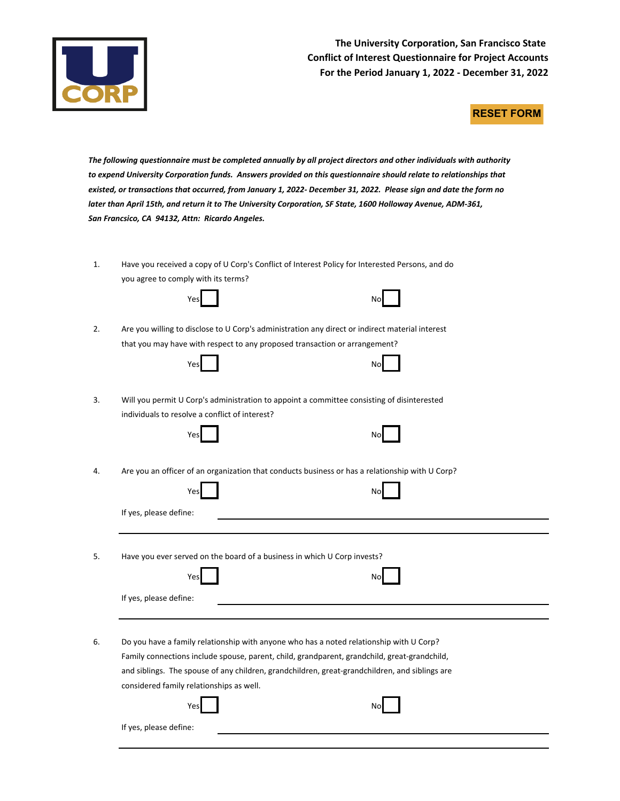

**The University Corporation, San Francisco State Conflict of Interest Questionnaire for Project Accounts For the Period January 1, 2022 - December 31, 2022**

## **RESET FORM**

The following questionnaire must be completed annually by all project directors and other individuals with authority to expend University Corporation funds. Answers provided on this questionnaire should relate to relationships that *existed, or transactions that occurred, from January 1, 2022- December 31, 2022. Please sign and date the form no later than April 15th, and return it to The University Corporation, SF State, 1600 Holloway Avenue, ADM-361, San Francsico, CA 94132, Attn: Ricardo Angeles.*

1. Have you received a copy of U Corp's Conflict of Interest Policy for Interested Persons, and do you agree to comply with its terms?

| No |
|----|
|    |

| v.<br>V.<br>$\sim$ |  |
|--------------------|--|
|                    |  |

2. Are you willing to disclose to U Corp's administration any direct or indirect material interest that you may have with respect to any proposed transaction or arrangement?

| Yes | ٩o |
|-----|----|
|-----|----|

3. Will you permit U Corp's administration to appoint a committee consisting of disinterested individuals to resolve a conflict of interest?

| Yes | No |
|-----|----|
|     |    |

If yes, please define:

- 
- 4. Are you an officer of an organization that conducts business or has a relationship with U Corp?

|                        | ? Are you an officer of an organization that conducts business or has a relationship with U Corp |                                                                                                |
|------------------------|--------------------------------------------------------------------------------------------------|------------------------------------------------------------------------------------------------|
|                        | Yes                                                                                              | No                                                                                             |
| If yes, please define: |                                                                                                  |                                                                                                |
|                        |                                                                                                  |                                                                                                |
|                        | Have you ever served on the board of a business in which U Corp invests?                         |                                                                                                |
|                        | Yes                                                                                              | No                                                                                             |
| If yes, please define: |                                                                                                  |                                                                                                |
|                        |                                                                                                  |                                                                                                |
|                        |                                                                                                  |                                                                                                |
|                        |                                                                                                  | Do you have a family relationship with anyone who has a noted relationship with U Corp?        |
|                        |                                                                                                  |                                                                                                |
|                        |                                                                                                  | Family connections include spouse, parent, child, grandparent, grandchild, great-grandchild,   |
|                        |                                                                                                  |                                                                                                |
|                        |                                                                                                  | and siblings. The spouse of any children, grandchildren, great-grandchildren, and siblings are |
|                        | considered family relationships as well.                                                         |                                                                                                |